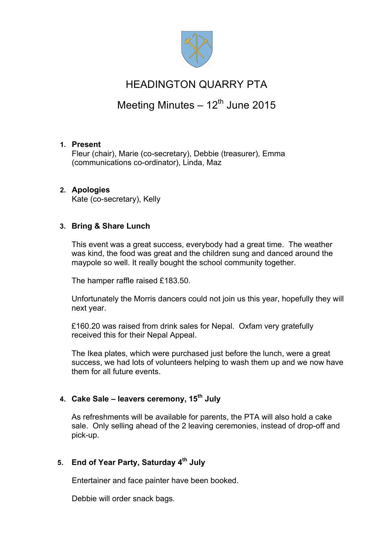

# HEADINGTON QUARRY PTA

# Meeting Minutes  $-12^{th}$  June 2015

### **1. Present**

Fleur (chair), Marie (co-secretary), Debbie (treasurer), Emma (communications co-ordinator), Linda, Maz

### **2. Apologies**

Kate (co-secretary), Kelly

## **3. Bring & Share Lunch**

This event was a great success, everybody had a great time. The weather was kind, the food was great and the children sung and danced around the maypole so well. It really bought the school community together.

The hamper raffle raised £183.50.

Unfortunately the Morris dancers could not join us this year, hopefully they will next year.

£160.20 was raised from drink sales for Nepal. Oxfam very gratefully received this for their Nepal Appeal.

The Ikea plates, which were purchased just before the lunch, were a great success, we had lots of volunteers helping to wash them up and we now have them for all future events.

# **4. Cake Sale – leavers ceremony, 15th July**

As refreshments will be available for parents, the PTA will also hold a cake sale. Only selling ahead of the 2 leaving ceremonies, instead of drop-off and pick-up.

# **5. End of Year Party, Saturday 4th July**

Entertainer and face painter have been booked.

Debbie will order snack bags.